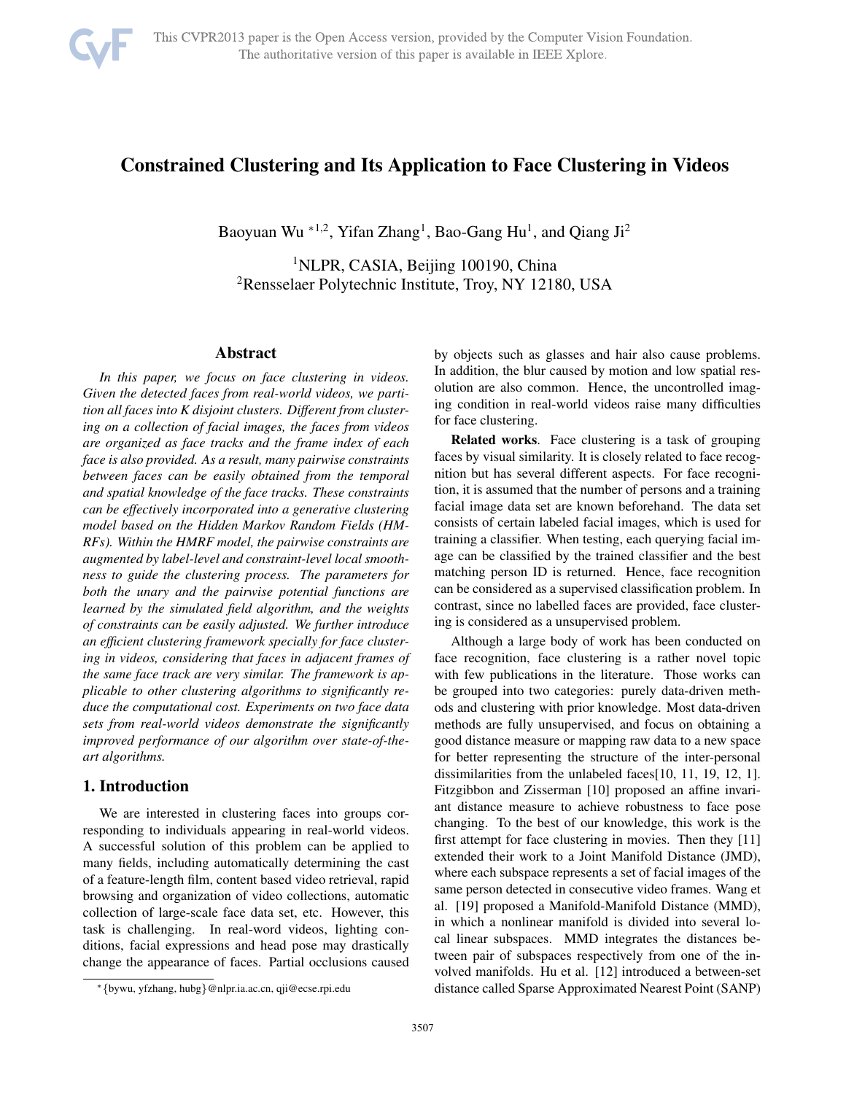

# Constrained Clustering and Its Application to Face Clustering in Videos

Baoyuan Wu  $*^{1,2}$ , Yifan Zhang<sup>1</sup>, Bao-Gang Hu<sup>1</sup>, and Qiang Ji<sup>2</sup>

<sup>1</sup>NLPR, CASIA, Beijing 100190, China 2Rensselaer Polytechnic Institute, Troy, NY 12180, USA

# Abstract

*In this paper, we focus on face clustering in videos. Given the detected faces from real-world videos, we partition all faces into K disjoint clusters. Different from clustering on a collection of facial images, the faces from videos are organized as face tracks and the frame index of each face is also provided. As a result, many pairwise constraints between faces can be easily obtained from the temporal and spatial knowledge of the face tracks. These constraints can be effectively incorporated into a generative clustering model based on the Hidden Markov Random Fields (HM-RFs). Within the HMRF model, the pairwise constraints are augmented by label-level and constraint-level local smoothness to guide the clustering process. The parameters for both the unary and the pairwise potential functions are learned by the simulated field algorithm, and the weights of constraints can be easily adjusted. We further introduce an efficient clustering framework specially for face clustering in videos, considering that faces in adjacent frames of the same face track are very similar. The framework is applicable to other clustering algorithms to significantly reduce the computational cost. Experiments on two face data sets from real-world videos demonstrate the significantly improved performance of our algorithm over state-of-theart algorithms.*

# 1. Introduction

We are interested in clustering faces into groups corresponding to individuals appearing in real-world videos. A successful solution of this problem can be applied to many fields, including automatically determining the cast of a feature-length film, content based video retrieval, rapid browsing and organization of video collections, automatic collection of large-scale face data set, etc. However, this task is challenging. In real-word videos, lighting conditions, facial expressions and head pose may drastically change the appearance of faces. Partial occlusions caused by objects such as glasses and hair also cause problems. In addition, the blur caused by motion and low spatial resolution are also common. Hence, the uncontrolled imaging condition in real-world videos raise many difficulties for face clustering.

Related works. Face clustering is a task of grouping faces by visual similarity. It is closely related to face recognition but has several different aspects. For face recognition, it is assumed that the number of persons and a training facial image data set are known beforehand. The data set consists of certain labeled facial images, which is used for training a classifier. When testing, each querying facial image can be classified by the trained classifier and the best matching person ID is returned. Hence, face recognition can be considered as a supervised classification problem. In contrast, since no labelled faces are provided, face clustering is considered as a unsupervised problem.

Although a large body of work has been conducted on face recognition, face clustering is a rather novel topic with few publications in the literature. Those works can be grouped into two categories: purely data-driven methods and clustering with prior knowledge. Most data-driven methods are fully unsupervised, and focus on obtaining a good distance measure or mapping raw data to a new space for better representing the structure of the inter-personal dissimilarities from the unlabeled faces[10, 11, 19, 12, 1]. Fitzgibbon and Zisserman [10] proposed an affine invariant distance measure to achieve robustness to face pose changing. To the best of our knowledge, this work is the first attempt for face clustering in movies. Then they [11] extended their work to a Joint Manifold Distance (JMD), where each subspace represents a set of facial images of the same person detected in consecutive video frames. Wang et al. [19] proposed a Manifold-Manifold Distance (MMD), in which a nonlinear manifold is divided into several local linear subspaces. MMD integrates the distances between pair of subspaces respectively from one of the involved manifolds. Hu et al. [12] introduced a between-set distance called Sparse Approximated Nearest Point (SANP)

<sup>∗</sup>{bywu, yfzhang, hubg}@nlpr.ia.ac.cn, qji@ecse.rpi.edu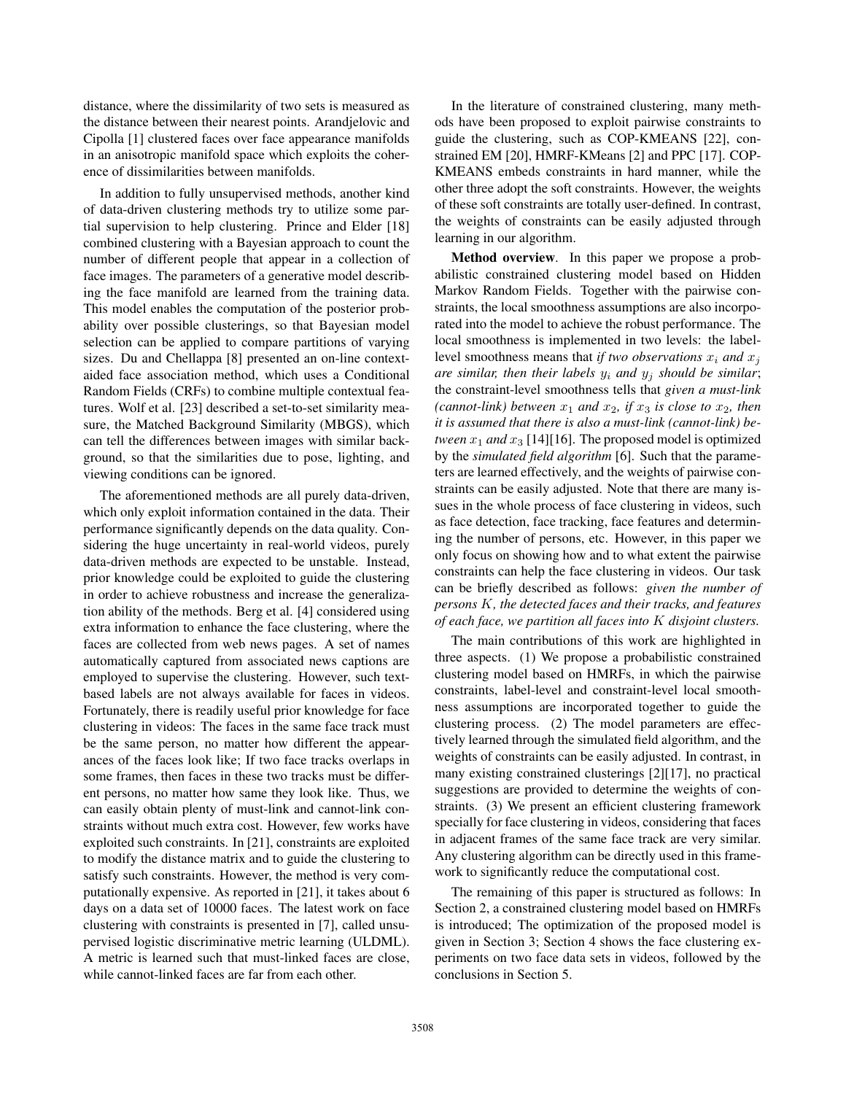distance, where the dissimilarity of two sets is measured as the distance between their nearest points. Arandjelovic and Cipolla [1] clustered faces over face appearance manifolds in an anisotropic manifold space which exploits the coherence of dissimilarities between manifolds.

In addition to fully unsupervised methods, another kind of data-driven clustering methods try to utilize some partial supervision to help clustering. Prince and Elder [18] combined clustering with a Bayesian approach to count the number of different people that appear in a collection of face images. The parameters of a generative model describing the face manifold are learned from the training data. This model enables the computation of the posterior probability over possible clusterings, so that Bayesian model selection can be applied to compare partitions of varying sizes. Du and Chellappa [8] presented an on-line contextaided face association method, which uses a Conditional Random Fields (CRFs) to combine multiple contextual features. Wolf et al. [23] described a set-to-set similarity measure, the Matched Background Similarity (MBGS), which can tell the differences between images with similar background, so that the similarities due to pose, lighting, and viewing conditions can be ignored.

The aforementioned methods are all purely data-driven, which only exploit information contained in the data. Their performance significantly depends on the data quality. Considering the huge uncertainty in real-world videos, purely data-driven methods are expected to be unstable. Instead, prior knowledge could be exploited to guide the clustering in order to achieve robustness and increase the generalization ability of the methods. Berg et al. [4] considered using extra information to enhance the face clustering, where the faces are collected from web news pages. A set of names automatically captured from associated news captions are employed to supervise the clustering. However, such textbased labels are not always available for faces in videos. Fortunately, there is readily useful prior knowledge for face clustering in videos: The faces in the same face track must be the same person, no matter how different the appearances of the faces look like; If two face tracks overlaps in some frames, then faces in these two tracks must be different persons, no matter how same they look like. Thus, we can easily obtain plenty of must-link and cannot-link constraints without much extra cost. However, few works have exploited such constraints. In [21], constraints are exploited to modify the distance matrix and to guide the clustering to satisfy such constraints. However, the method is very computationally expensive. As reported in [21], it takes about 6 days on a data set of 10000 faces. The latest work on face clustering with constraints is presented in [7], called unsupervised logistic discriminative metric learning (ULDML). A metric is learned such that must-linked faces are close, while cannot-linked faces are far from each other.

In the literature of constrained clustering, many methods have been proposed to exploit pairwise constraints to guide the clustering, such as COP-KMEANS [22], constrained EM [20], HMRF-KMeans [2] and PPC [17]. COP-KMEANS embeds constraints in hard manner, while the other three adopt the soft constraints. However, the weights of these soft constraints are totally user-defined. In contrast, the weights of constraints can be easily adjusted through learning in our algorithm.

Method overview. In this paper we propose a probabilistic constrained clustering model based on Hidden Markov Random Fields. Together with the pairwise constraints, the local smoothness assumptions are also incorporated into the model to achieve the robust performance. The local smoothness is implemented in two levels: the labellevel smoothness means that *if two observations*  $x_i$  *and*  $x_j$ *are similar, then their labels*  $y_i$  *and*  $y_j$  *should be similar*; the constraint-level smoothness tells that *given a must-link (cannot-link) between*  $x_1$  *and*  $x_2$ *, if*  $x_3$  *is close to*  $x_2$ *, then it is assumed that there is also a must-link (cannot-link) between*  $x_1$  *and*  $x_3$  [14][16]. The proposed model is optimized by the *simulated field algorithm* [6]. Such that the parameters are learned effectively, and the weights of pairwise constraints can be easily adjusted. Note that there are many issues in the whole process of face clustering in videos, such as face detection, face tracking, face features and determining the number of persons, etc. However, in this paper we only focus on showing how and to what extent the pairwise constraints can help the face clustering in videos. Our task can be briefly described as follows: *given the number of persons* K*, the detected faces and their tracks, and features of each face, we partition all faces into* K *disjoint clusters.*

The main contributions of this work are highlighted in three aspects. (1) We propose a probabilistic constrained clustering model based on HMRFs, in which the pairwise constraints, label-level and constraint-level local smoothness assumptions are incorporated together to guide the clustering process. (2) The model parameters are effectively learned through the simulated field algorithm, and the weights of constraints can be easily adjusted. In contrast, in many existing constrained clusterings [2][17], no practical suggestions are provided to determine the weights of constraints. (3) We present an efficient clustering framework specially for face clustering in videos, considering that faces in adjacent frames of the same face track are very similar. Any clustering algorithm can be directly used in this framework to significantly reduce the computational cost.

The remaining of this paper is structured as follows: In Section 2, a constrained clustering model based on HMRFs is introduced; The optimization of the proposed model is given in Section 3; Section 4 shows the face clustering experiments on two face data sets in videos, followed by the conclusions in Section 5.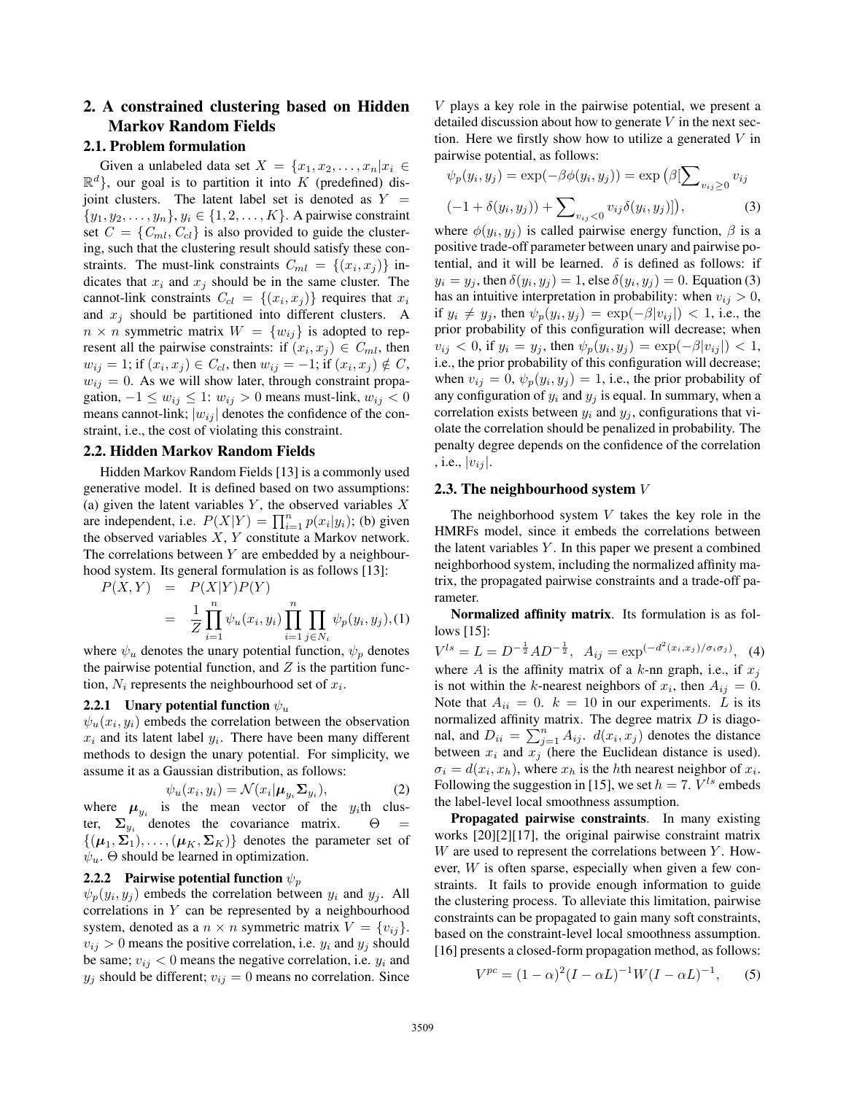# 2. A constrained clustering based on Hidden Markov Random Fields

# 2.1. Problem formulation

Given a unlabeled data set  $X = \{x_1, x_2, \ldots, x_n | x_i \in$  $\mathbb{R}^d$ , our goal is to partition it into K (predefined) disjoint clusters. The latent label set is denoted as  $Y =$  $\{y_1, y_2, \ldots, y_n\}, y_i \in \{1, 2, \ldots, K\}.$  A pairwise constraint set  $C = \{C_{ml}, C_{cl}\}\$ is also provided to guide the clustering, such that the clustering result should satisfy these constraints. The must-link constraints  $C_{ml} = \{(x_i, x_j)\}\$ indicates that  $x_i$  and  $x_j$  should be in the same cluster. The cannot-link constraints  $C_{cl} = \{(x_i, x_j)\}\$  requires that  $x_i$ and  $x_j$  should be partitioned into different clusters. A  $n \times n$  symmetric matrix  $W = \{w_{ij}\}\$ is adopted to represent all the pairwise constraints: if  $(x_i, x_j) \in C_{ml}$ , then  $w_{ij} = 1$ ; if  $(x_i, x_j) \in C_{cl}$ , then  $w_{ij} = -1$ ; if  $(x_i, x_j) \notin C$ ,  $w_{ij} = 0$ . As we will show later, through constraint propagation,  $-1 \le w_{ij} \le 1$ :  $w_{ij} > 0$  means must-link,  $w_{ij} < 0$ means cannot-link;  $|w_{ij}|$  denotes the confidence of the constraint, i.e., the cost of violating this constraint.

#### 2.2. Hidden Markov Random Fields

Hidden Markov Random Fields [13] is a commonly used generative model. It is defined based on two assumptions: (a) given the latent variables  $Y$ , the observed variables  $X$ are independent, i.e.  $P(X|Y) = \prod_{i=1}^{n} p(x_i|y_i)$ ; (b) given<br>the observed variables X, Y constitute a Markov network the observed variables  $X$ ,  $Y$  constitute a Markov network. The correlations between  $Y$  are embedded by a neighbourhood system. Its general formulation is as follows [13]:

$$
P(X,Y) = P(X|Y)P(Y)
$$
  
= 
$$
\frac{1}{Z} \prod_{i=1}^{n} \psi_u(x_i, y_i) \prod_{i=1}^{n} \prod_{j \in N_i} \psi_p(y_i, y_j), (1)
$$

where  $\psi_u$  denotes the unary potential function,  $\psi_p$  denotes the pairwise potential function, and  $Z$  is the partition function,  $N_i$  represents the neighbourhood set of  $x_i$ .

#### 2.2.1 Unary potential function  $\psi_u$

 $\psi_u(x_i, y_i)$  embeds the correlation between the observation  $x_i$  and its latent label  $y_i$ . There have been many different methods to design the unary potential. For simplicity, we assume it as a Gaussian distribution, as follows:

$$
\psi_u(x_i, y_i) = \mathcal{N}(x_i | \boldsymbol{\mu}_u, \boldsymbol{\Sigma}_{y_i}), \tag{2}
$$

 $\psi_u(x_i, y_i) = \mathcal{N}(x_i | \mu_{y_i} \Sigma_{y_i}),$ (2)<br>
where  $\mu_{y_i}$  is the mean vector of the y<sub>i</sub>th cluster,  $\Sigma_{y_i}$  denotes the covariance matrix.  $\Theta$  =  $\{(\mu_1, \Sigma_1), \ldots, (\mu_K, \Sigma_K)\}\$  denotes the parameter set of  $\psi_u$ . Θ should be learned in optimization.

#### 2.2.2 Pairwise potential function  $\psi_p$

 $\psi_p(y_i, y_j)$  embeds the correlation between  $y_i$  and  $y_j$ . All correlations in  $Y$  can be represented by a neighbourhood system, denoted as a  $n \times n$  symmetric matrix  $V = \{v_{ij}\}.$  $v_{ij} > 0$  means the positive correlation, i.e.  $y_i$  and  $y_j$  should be same;  $v_{ij} < 0$  means the negative correlation, i.e.  $y_i$  and  $y_j$  should be different;  $v_{ij} = 0$  means no correlation. Since V plays a key role in the pairwise potential, we present a detailed discussion about how to generate  $V$  in the next section. Here we firstly show how to utilize a generated  $V$  in pairwise potential, as follows:

$$
\psi_p(y_i, y_j) = \exp(-\beta \phi(y_i, y_j)) = \exp\left(\beta \left[\sum_{v_{ij} \ge 0} v_{ij}\right] -1 + \delta(y_i, y_j)\right) + \sum_{v_{ij} < 0} v_{ij} \delta(y_i, y_j)\right],\tag{3}
$$

where  $\phi(y_i, y_j)$  is called pairwise energy function,  $\beta$  is a positive trade-off parameter between unary and pairwise potential, and it will be learned.  $\delta$  is defined as follows: if  $y_i = y_j$ , then  $\delta(y_i, y_j) = 1$ , else  $\delta(y_i, y_j) = 0$ . Equation (3) has an intuitive interpretation in probability: when  $v_{ij} > 0$ , if  $y_i \neq y_j$ , then  $\psi_p(y_i, y_j) = \exp(-\beta |v_{ij}|) < 1$ , i.e., the prior probability of this configuration will decrease; when  $v_{ij} < 0$ , if  $y_i = y_j$ , then  $\psi_p(y_i, y_j) = \exp(-\beta |v_{ij}|) < 1$ , i.e., the prior probability of this configuration will decrease; when  $v_{ij} = 0$ ,  $\psi_p(y_i, y_j) = 1$ , i.e., the prior probability of any configuration of  $y_i$  and  $y_j$  is equal. In summary, when a correlation exists between  $y_i$  and  $y_j$ , configurations that violate the correlation should be penalized in probability. The penalty degree depends on the confidence of the correlation , i.e.,  $|v_{ij}|$ .

#### 2.3. The neighbourhood system  $V$

The neighborhood system  $V$  takes the key role in the HMRFs model, since it embeds the correlations between the latent variables  $Y$ . In this paper we present a combined neighborhood system, including the normalized affinity matrix, the propagated pairwise constraints and a trade-off parameter.

Normalized affinity matrix. Its formulation is as follows [15]:

 $V^{ls} = L = D^{-\frac{1}{2}}AD^{-\frac{1}{2}}$ ,  $A_{ij} = \exp^{(-d^2(x_i, x_j)/\sigma_i \sigma_j)}$ , (4) where  $A$  is the affinity matrix of a  $k$ -nn graph, i.e., if  $x_j$ is not within the k-nearest neighbors of  $x_i$ , then  $A_{ij} = 0$ . Note that  $A_{ii} = 0$ .  $k = 10$  in our experiments. L is its normalized affinity matrix. The degree matrix  $D$  is diagonal, and  $D_{ii} = \sum_{j=1}^{n} A_{ij}$ .  $d(x_i, x_j)$  denotes the distance<br>between  $x_i$  and  $x_j$  (bere the Euclidean distance is used) between  $x_i$  and  $x_j$  (here the Euclidean distance is used).  $\sigma_i = d(x_i, x_h)$ , where  $x_h$  is the hth nearest neighbor of  $x_i$ . Following the suggestion in [15], we set  $h = 7$ .  $V^{ls}$  embeds the label-level local smoothness assumption.

Propagated pairwise constraints. In many existing works [20][2][17], the original pairwise constraint matrix  $W$  are used to represent the correlations between  $Y$ . However, W is often sparse, especially when given a few constraints. It fails to provide enough information to guide the clustering process. To alleviate this limitation, pairwise constraints can be propagated to gain many soft constraints, based on the constraint-level local smoothness assumption. [16] presents a closed-form propagation method, as follows:

$$
V^{pc} = (1 - \alpha)^2 (I - \alpha L)^{-1} W (I - \alpha L)^{-1}, \quad (5)
$$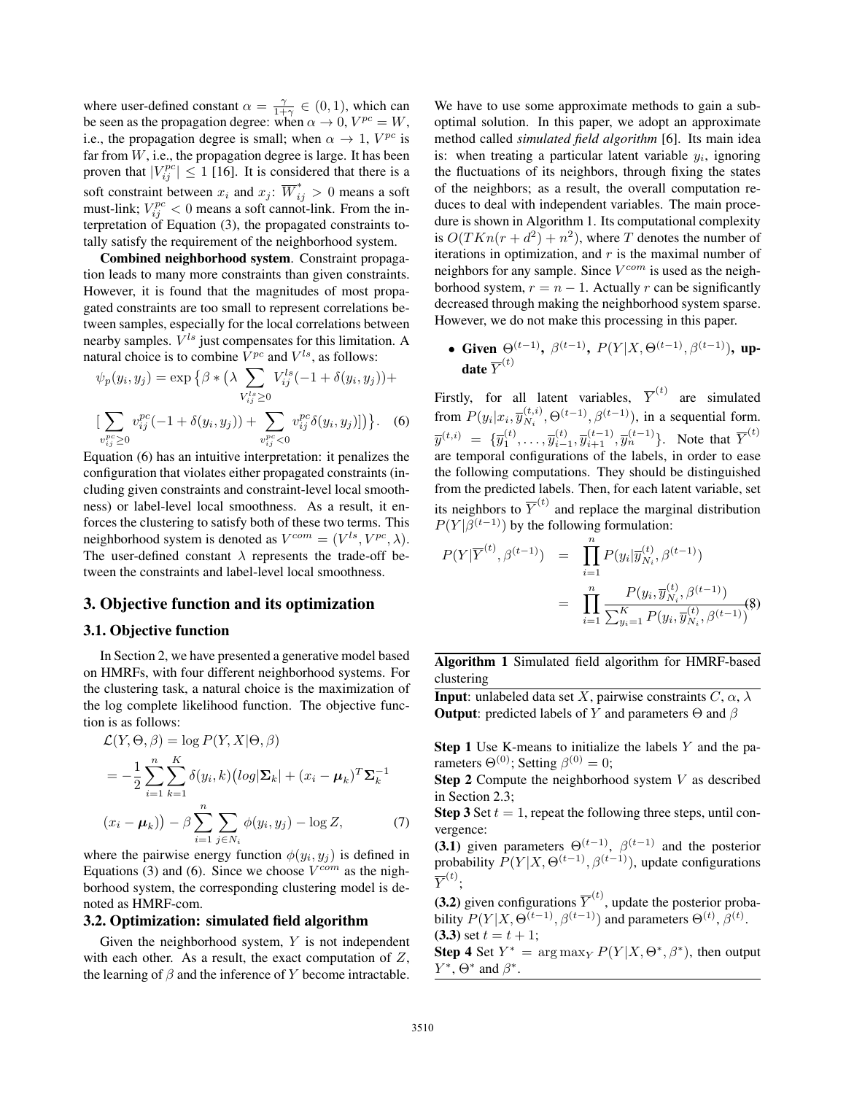where user-defined constant  $\alpha = \frac{\gamma}{1+\gamma} \in (0, 1)$ , which can<br>be seen as the propagation degree: when  $\alpha \to 0$ ,  $V^{pc} - W$ be seen as the propagation degree: when  $\alpha \to 0$ ,  $V^{pc} = W$ ,<br>i.e., the propagation degree is small: when  $\alpha \to 1$ ,  $V^{pc}$  is i.e., the propagation degree is small; when  $\alpha \rightarrow 1$ ,  $V^{pc}$  is far from  $W$ , i.e., the propagation degree is large. It has been proven that  $|V_{ij}^{pc}| \le 1$  [16]. It is considered that there is a soft constraint between  $x_i$  and  $x_j$ :  $\overline{W}_{ij}^* > 0$  means a soft connot-link. From the inmust-link;  $V_{ij}^{pc} < 0$  means a soft cannot-link. From the in-<br>terretation of Equation (3), the propagated constraints toterpretation of Equation (3), the propagated constraints totally satisfy the requirement of the neighborhood system.

Combined neighborhood system. Constraint propagation leads to many more constraints than given constraints. However, it is found that the magnitudes of most propagated constraints are too small to represent correlations between samples, especially for the local correlations between nearby samples.  $V^{ls}$  just compensates for this limitation. A natural choice is to combine  $V^{pc}$  and  $V^{ls}$ , as follows:

$$
\psi_p(y_i, y_j) = \exp \left\{ \beta * \left( \lambda \sum_{V_{ij}^{ls} \ge 0} V_{ij}^{ls} (-1 + \delta(y_i, y_j)) + \right) \right\}
$$

$$
\left[ \sum_{v_{ij}^{pc} \ge 0} v_{ij}^{pc} (-1 + \delta(y_i, y_j)) + \sum_{v_{ij}^{pc} \ge 0} v_{ij}^{pc} \delta(y_i, y_j) \right] \right\}. \tag{6}
$$

Equation (6) has an intuitive interpretation: it penalizes the configuration that violates either propagated constraints (including given constraints and constraint-level local smoothness) or label-level local smoothness. As a result, it enforces the clustering to satisfy both of these two terms. This neighborhood system is denoted as  $V^{com} = (V^{ls}, V^{pc}, \lambda)$ . The user-defined constant  $\lambda$  represents the trade-off between the constraints and label-level local smoothness.

## 3. Objective function and its optimization

#### 3.1. Objective function

In Section 2, we have presented a generative model based on HMRFs, with four different neighborhood systems. For the clustering task, a natural choice is the maximization of the log complete likelihood function. The objective function is as follows:

$$
\mathcal{L}(Y, \Theta, \beta) = \log P(Y, X | \Theta, \beta)
$$
  
=  $-\frac{1}{2} \sum_{i=1}^{n} \sum_{k=1}^{K} \delta(y_i, k) (\log |\Sigma_k| + (x_i - \mu_k)^T \Sigma_k^{-1})$   
 $(x_i - \mu_k)) - \beta \sum_{i=1}^{n} \sum_{j \in N_i} \phi(y_i, y_j) - \log Z,$  (7)

where the pairwise energy function  $\phi(y_i, y_j)$  is defined in Equations (3) and (6). Since we choose  $V^{com}$  as the nighborhood system, the corresponding clustering model is denoted as HMRF-com.

#### 3.2. Optimization: simulated field algorithm

Given the neighborhood system,  $Y$  is not independent with each other. As a result, the exact computation of  $Z$ , the learning of  $\beta$  and the inference of Y become intractable.

We have to use some approximate methods to gain a suboptimal solution. In this paper, we adopt an approximate method called *simulated field algorithm* [6]. Its main idea is: when treating a particular latent variable  $y_i$ , ignoring the fluctuations of its neighbors, through fixing the states of the neighbors; as a result, the overall computation reduces to deal with independent variables. The main procedure is shown in Algorithm 1. Its computational complexity is  $O(TKn(r + d^2) + n^2)$ , where T denotes the number of iterations in optimization, and  $r$  is the maximal number of neighbors for any sample. Since  $V^{com}$  is used as the neighborhood system,  $r = n - 1$ . Actually r can be significantly decreased through making the neighborhood system sparse. However, we do not make this processing in this paper.

• Given  $\Theta^{(t-1)}$ ,  $\beta^{(t-1)}$ ,  $P(Y|X,\Theta^{(t-1)},\beta^{(t-1)})$ , update  $\overline{Y}^{(t)}$ 

Firstly, for all latent variables,  $\overline{Y}^{(t)}$  are simulated from  $P(y_i|x_i, \overline{y}_{N_i}^{(t,i)}, \Theta^{(t-1)}, \beta^{(t-1)})$ , in a sequential form.  $\overline{y}^{(t,i)} = {\overline{y}^{(t)}_1, \ldots, \overline{y}^{(t)}_{i-1}, \overline{y}^{(t-1)}_{i+1}, \overline{y}^{(t-1)}_n}$ . Note that  $\overline{Y}^{(t)}$ are temporal configurations of the labels, in order to ease the following computations. They should be distinguished from the predicted labels. Then, for each latent variable, set its neighbors to  $\overline{Y}^{(t)}$  and replace the marginal distribution  $P(Y|\bar{\beta}^{(t-1)})$  by the following formulation:

$$
P(Y|\overline{Y}^{(t)}, \beta^{(t-1)}) = \prod_{i=1}^{n} P(y_i|\overline{y}_{N_i}^{(t)}, \beta^{(t-1)})
$$
  

$$
= \prod_{i=1}^{n} \frac{P(y_i, \overline{y}_{N_i}^{(t)}, \beta^{(t-1)})}{\sum_{y_i=1}^{K} P(y_i, \overline{y}_{N_i}^{(t)}, \beta^{(t-1)})}
$$
(8)

Algorithm 1 Simulated field algorithm for HMRF-based clustering

**Input:** unlabeled data set X, pairwise constraints  $C, \alpha, \lambda$ **Output**: predicted labels of Y and parameters  $\Theta$  and  $\beta$ 

Step 1 Use K-means to initialize the labels Y and the parameters  $\Theta^{(0)}$ ; Setting  $\beta^{(0)} = 0$ ;

**Step 2** Compute the neighborhood system  $V$  as described in Section 2.3;

**Step 3** Set  $t = 1$ , repeat the following three steps, until convergence:

(3.1) given parameters  $\Theta^{(t-1)}$ ,  $\beta^{(t-1)}$  and the posterior probability  $P(Y|X, \Theta^{(t-1)}, \beta^{(t-1)})$ , update configurations  $\overline{Y}^{(t)}$ ;

(3.2) given configurations  $\overline{Y}^{(t)}$ , update the posterior probability  $P(Y|X, \Theta^{(t-1)}, \beta^{(t-1)})$  and parameters  $\Theta^{(t)}, \beta^{(t)}$ . (3.3) set  $t = t + 1$ ;

**Step 4** Set  $Y^* = \arg \max_{Y} P(Y|X, \Theta^*, \beta^*)$ , then output  $Y^*$ ,  $\Theta^*$  and  $\beta^*$ .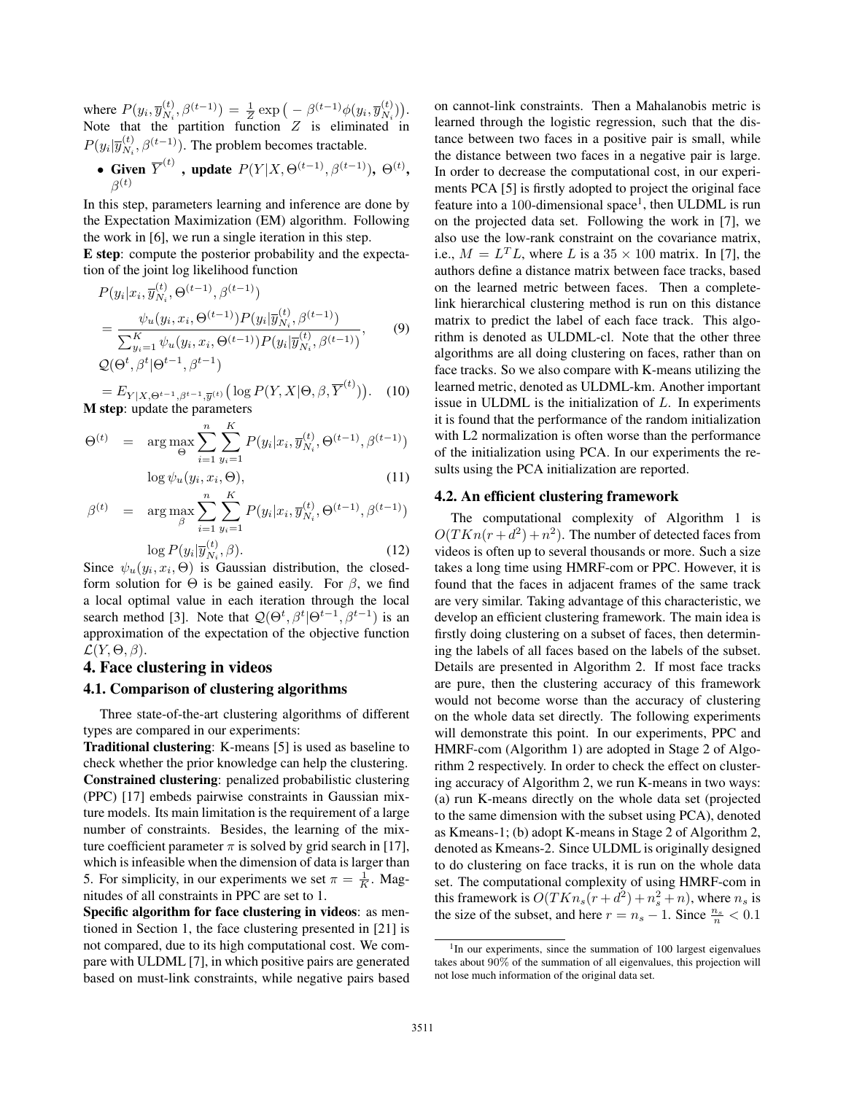where  $P(y_i, \overline{y}_{N_i}^{(t)}, \beta^{(t-1)}) = \frac{1}{Z} \exp\left(-\beta^{(t-1)}\phi(y_i, \overline{y}_{N_i}^{(t)}\right)$ <br>Note that the partition function Z is eliminated . Note that the partition function  $Z$  is eliminated in  $P(y_i|\overline{y}_{N_i}^{(t)},\beta^{(t-1)})$ . The problem becomes tractable.

• Given  $\overline{Y}^{(t)}$  , update  $P(Y|X,\Theta^{(t-1)},\beta^{(t-1)}), \Theta^{(t)},$  $\beta^{(t)}$ 

In this step, parameters learning and inference are done by the Expectation Maximization (EM) algorithm. Following the work in [6], we run a single iteration in this step.

E step: compute the posterior probability and the expectation of the joint log likelihood function

$$
P(y_i|x_i, \overline{y}_{N_i}^{(t)}, \Theta^{(t-1)}, \beta^{(t-1)})
$$
  
= 
$$
\frac{\psi_u(y_i, x_i, \Theta^{(t-1)}) P(y_i|\overline{y}_{N_i}^{(t)}, \beta^{(t-1)})}{\sum_{y_i=1}^K \psi_u(y_i, x_i, \Theta^{(t-1)}) P(y_i|\overline{y}_{N_i}^{(t)}, \beta^{(t-1)})},
$$
 (9)  

$$
Q(\Theta^t, \beta^t | \Theta^{t-1}, \beta^{t-1})
$$

 $= E_{Y|X, \Theta^{t-1}, \beta^{t-1}, \overline{y}^{(t)}} \big( \log P(Y, X | \Theta, \beta, \overline{Y}^{(t)}) \big)$  . (10) M step: update the parameters

$$
\Theta^{(t)} = \arg \max_{\Theta} \sum_{i=1}^{n} \sum_{y_i=1}^{K} P(y_i | x_i, \overline{y}_{N_i}^{(t)}, \Theta^{(t-1)}, \beta^{(t-1)})
$$
\n
$$
\log \psi_{\Theta}^{(t)}(x_i, x_i, \Theta)
$$
\n(11)

$$
\log \psi_u(y_i, x_i, \Theta), \tag{11}
$$

$$
\beta^{(t)} = \arg \max_{\beta} \sum_{i=1}^{n} \sum_{y_i=1}^{K} P(y_i | x_i, \overline{y}_{N_i}^{(t)}, \Theta^{(t-1)}, \beta^{(t-1)})
$$

$$
\log P(y_i | \overline{y}_{N_i}^{(t)}, \beta).
$$
(12)  
Since  $\psi_i$  (*u*, *x*,  $\Theta$ ) is Gaussian distribution, the closed

Since  $\psi_u(y_i, x_i, \Theta)$  is Gaussian distribution, the closed-<br>form solution for  $\Theta$  is be gained easily. For  $\beta$  we find form solution for  $\Theta$  is be gained easily. For  $\beta$ , we find a local optimal value in each iteration through the local search method [3]. Note that  $\mathcal{Q}(\Theta^t, \beta^t | \Theta^{t-1}, \beta^{t-1})$  is an<br>annovimation of the expectation of the objective function approximation of the expectation of the objective function  $\mathcal{L}(Y,\Theta,\beta).$ 

# 4. Face clustering in videos

## 4.1. Comparison of clustering algorithms

Three state-of-the-art clustering algorithms of different types are compared in our experiments:

Traditional clustering: K-means [5] is used as baseline to check whether the prior knowledge can help the clustering. Constrained clustering: penalized probabilistic clustering (PPC) [17] embeds pairwise constraints in Gaussian mixture models. Its main limitation is the requirement of a large number of constraints. Besides, the learning of the mixture coefficient parameter  $\pi$  is solved by grid search in [17], which is infeasible when the dimension of data is larger than 5. For simplicity, in our experiments we set  $\pi = \frac{1}{K}$ . Mag-<br>nitudes of all constraints in PPC are set to 1 nitudes of all constraints in PPC are set to 1.

Specific algorithm for face clustering in videos: as mentioned in Section 1, the face clustering presented in [21] is not compared, due to its high computational cost. We compare with ULDML [7], in which positive pairs are generated based on must-link constraints, while negative pairs based on cannot-link constraints. Then a Mahalanobis metric is learned through the logistic regression, such that the distance between two faces in a positive pair is small, while the distance between two faces in a negative pair is large. In order to decrease the computational cost, in our experiments PCA [5] is firstly adopted to project the original face feature into a 100-dimensional space<sup>1</sup>, then ULDML is run on the projected data set. Following the work in [7], we also use the low-rank constraint on the covariance matrix, i.e.,  $M = L<sup>T</sup>L$ , where L is a 35  $\times$  100 matrix. In [7], the authors define a distance matrix between face tracks, based on the learned metric between faces. Then a completelink hierarchical clustering method is run on this distance matrix to predict the label of each face track. This algorithm is denoted as ULDML-cl. Note that the other three algorithms are all doing clustering on faces, rather than on face tracks. So we also compare with K-means utilizing the learned metric, denoted as ULDML-km. Another important issue in ULDML is the initialization of  $L$ . In experiments it is found that the performance of the random initialization with L<sub>2</sub> normalization is often worse than the performance of the initialization using PCA. In our experiments the results using the PCA initialization are reported.

#### 4.2. An efficient clustering framework

The computational complexity of Algorithm 1 is  $O(TKn(r+d^2)+n^2)$ . The number of detected faces from videos is often up to several thousands or more. Such a size takes a long time using HMRF-com or PPC. However, it is found that the faces in adjacent frames of the same track are very similar. Taking advantage of this characteristic, we develop an efficient clustering framework. The main idea is firstly doing clustering on a subset of faces, then determining the labels of all faces based on the labels of the subset. Details are presented in Algorithm 2. If most face tracks are pure, then the clustering accuracy of this framework would not become worse than the accuracy of clustering on the whole data set directly. The following experiments will demonstrate this point. In our experiments, PPC and HMRF-com (Algorithm 1) are adopted in Stage 2 of Algorithm 2 respectively. In order to check the effect on clustering accuracy of Algorithm 2, we run K-means in two ways: (a) run K-means directly on the whole data set (projected to the same dimension with the subset using PCA), denoted as Kmeans-1; (b) adopt K-means in Stage 2 of Algorithm 2, denoted as Kmeans-2. Since ULDML is originally designed to do clustering on face tracks, it is run on the whole data set. The computational complexity of using HMRF-com in this framework is  $O(TKn_s(r+d^2) + n_s^2 + n)$ , where  $n_s$  is<br>the size of the subset and here  $r = n_s - 1$ . Since  $\frac{n_s}{r} < 0.1$ the size of the subset, and here  $r = n_s - 1$ . Since  $\frac{n_s}{n} < 0.1$ 

<sup>&</sup>lt;sup>1</sup>In our experiments, since the summation of 100 largest eigenvalues takes about 90% of the summation of all eigenvalues, this projection will not lose much information of the original data set.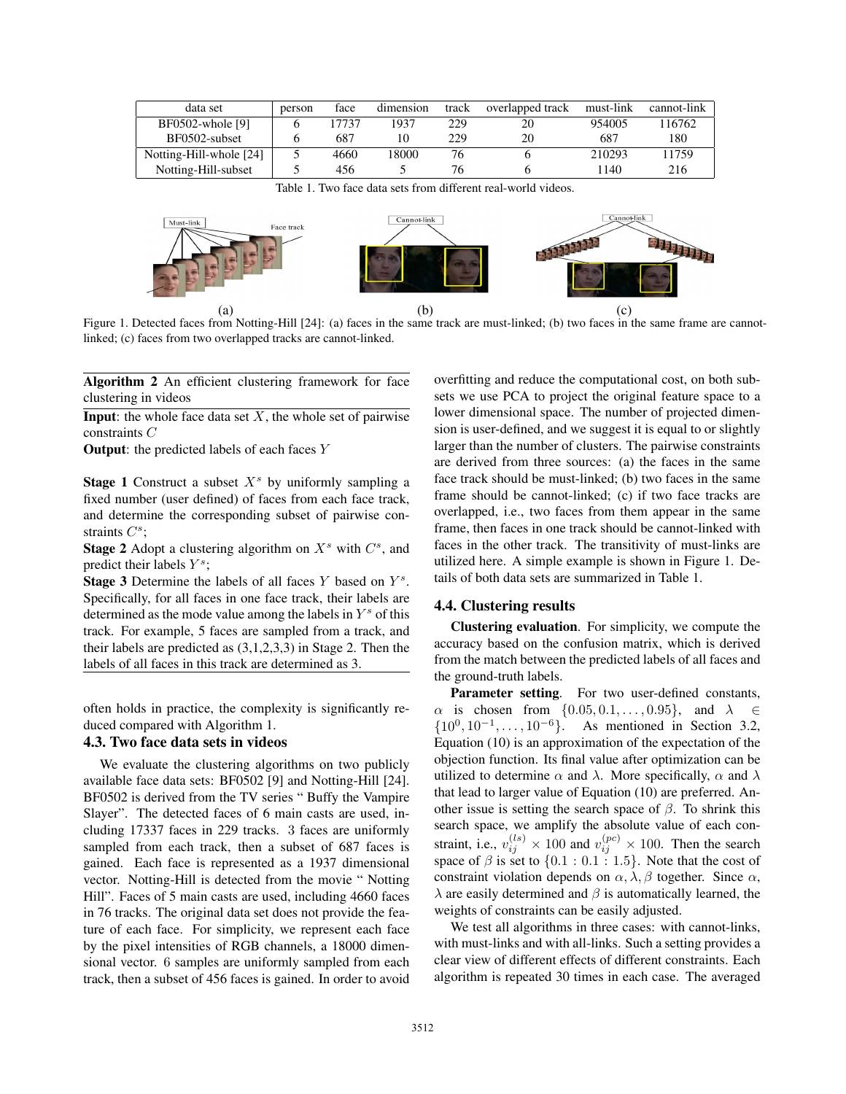| data set                | person | face  | dimension | track | overlapped track | must-link | cannot-link |
|-------------------------|--------|-------|-----------|-------|------------------|-----------|-------------|
| BF0502-whole [9]        |        | 17737 | 1937      | 229   | 20               | 954005    | 116762      |
| BF0502-subset           |        | 687   |           | 229   | 20               | 687       | 180         |
| Notting-Hill-whole [24] |        | 4660  | 18000     | 76    |                  | 210293    | 11759       |
| Notting-Hill-subset     |        | 456   |           | 76    |                  | 140       | 216         |

Table 1. Two face data sets from different real-world videos.



Figure 1. Detected faces from Notting-Hill [24]: (a) faces in the same track are must-linked; (b) two faces in the same frame are cannotlinked; (c) faces from two overlapped tracks are cannot-linked.

Algorithm 2 An efficient clustering framework for face clustering in videos

**Input:** the whole face data set  $X$ , the whole set of pairwise constraints C

**Output:** the predicted labels of each faces  $Y$ 

**Stage 1** Construct a subset  $X<sup>s</sup>$  by uniformly sampling a fixed number (user defined) of faces from each face track, and determine the corresponding subset of pairwise constraints  $C^s$ ;

**Stage 2** Adopt a clustering algorithm on  $X^s$  with  $C^s$ , and predict their labels  $Y^s$ ;

**Stage 3** Determine the labels of all faces Y based on  $Y<sup>s</sup>$ . Specifically, for all faces in one face track, their labels are determined as the mode value among the labels in  $Y^s$  of this track. For example, 5 faces are sampled from a track, and their labels are predicted as (3,1,2,3,3) in Stage 2. Then the labels of all faces in this track are determined as 3.

often holds in practice, the complexity is significantly reduced compared with Algorithm 1.

## 4.3. Two face data sets in videos

We evaluate the clustering algorithms on two publicly available face data sets: BF0502 [9] and Notting-Hill [24]. BF0502 is derived from the TV series " Buffy the Vampire Slayer". The detected faces of 6 main casts are used, including 17337 faces in 229 tracks. 3 faces are uniformly sampled from each track, then a subset of 687 faces is gained. Each face is represented as a 1937 dimensional vector. Notting-Hill is detected from the movie " Notting Hill". Faces of 5 main casts are used, including 4660 faces in 76 tracks. The original data set does not provide the feature of each face. For simplicity, we represent each face by the pixel intensities of RGB channels, a 18000 dimensional vector. 6 samples are uniformly sampled from each track, then a subset of 456 faces is gained. In order to avoid overfitting and reduce the computational cost, on both subsets we use PCA to project the original feature space to a lower dimensional space. The number of projected dimension is user-defined, and we suggest it is equal to or slightly larger than the number of clusters. The pairwise constraints are derived from three sources: (a) the faces in the same face track should be must-linked; (b) two faces in the same frame should be cannot-linked; (c) if two face tracks are overlapped, i.e., two faces from them appear in the same frame, then faces in one track should be cannot-linked with faces in the other track. The transitivity of must-links are utilized here. A simple example is shown in Figure 1. Details of both data sets are summarized in Table 1.

## 4.4. Clustering results

Clustering evaluation. For simplicity, we compute the accuracy based on the confusion matrix, which is derived from the match between the predicted labels of all faces and the ground-truth labels.

Parameter setting. For two user-defined constants,  $\alpha$  is chosen from  $\{0.05, 0.1, \ldots, 0.95\}$ , and  $\lambda \in$  $\{10^0, 10^{-1}, \ldots, 10^{-6}\}.$  As mentioned in Section 3.2, Equation (10) is an approximation of the expectation of the objection function. Its final value after optimization can be utilized to determine  $\alpha$  and  $\lambda$ . More specifically,  $\alpha$  and  $\lambda$ that lead to larger value of Equation (10) are preferred. Another issue is setting the search space of  $\beta$ . To shrink this search space, we amplify the absolute value of each constraint, i.e.,  $v_{ij}^{(ls)} \times 100$  and  $v_{ij}^{(pc)} \times 100$ . Then the search space of  $\beta$  is set to  $\{0.1:0.1:1.5\}$ . Note that the cost of constraint violation depends on  $\alpha$ ,  $\lambda$   $\beta$  together. Since  $\alpha$ constraint violation depends on  $\alpha$ ,  $\lambda$ ,  $\beta$  together. Since  $\alpha$ ,  $\lambda$  are easily determined and  $\beta$  is automatically learned, the weights of constraints can be easily adjusted.

We test all algorithms in three cases: with cannot-links, with must-links and with all-links. Such a setting provides a clear view of different effects of different constraints. Each algorithm is repeated 30 times in each case. The averaged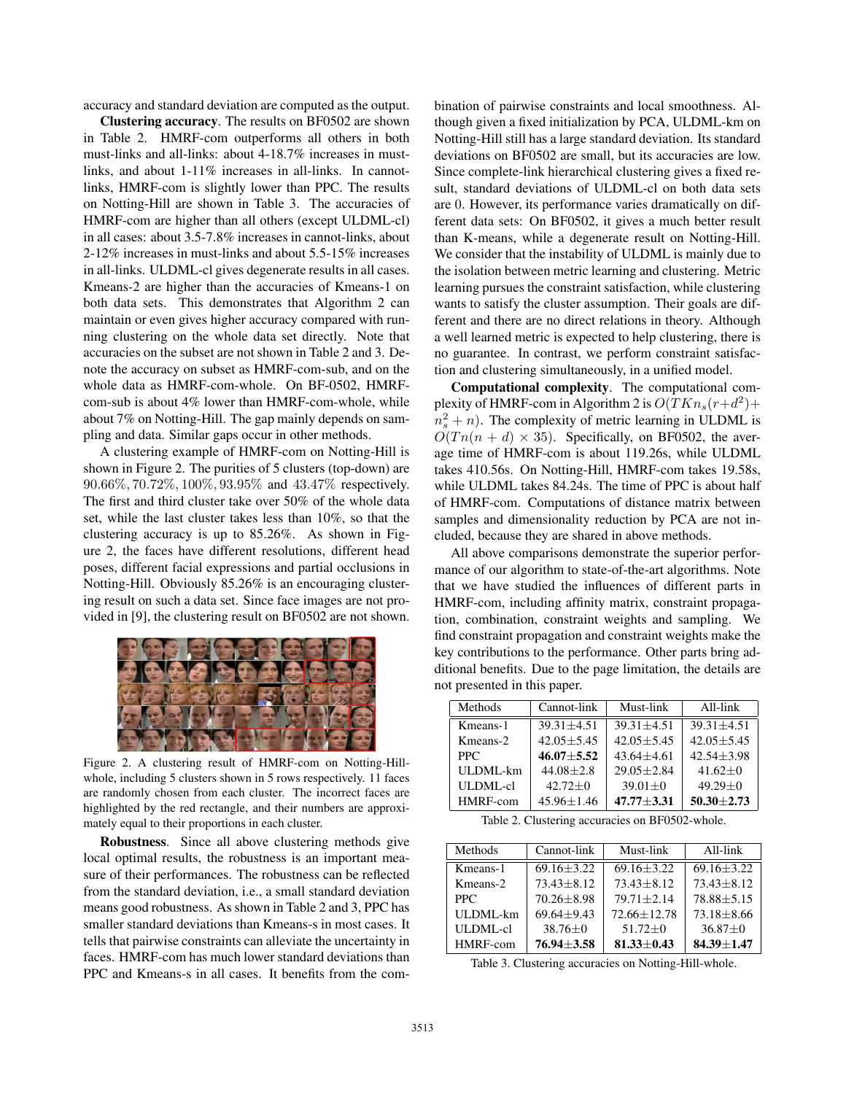accuracy and standard deviation are computed as the output.

Clustering accuracy. The results on BF0502 are shown in Table 2. HMRF-com outperforms all others in both must-links and all-links: about 4-18.7% increases in mustlinks, and about 1-11% increases in all-links. In cannotlinks, HMRF-com is slightly lower than PPC. The results on Notting-Hill are shown in Table 3. The accuracies of HMRF-com are higher than all others (except ULDML-cl) in all cases: about 3.5-7.8% increases in cannot-links, about 2-12% increases in must-links and about 5.5-15% increases in all-links. ULDML-cl gives degenerate results in all cases. Kmeans-2 are higher than the accuracies of Kmeans-1 on both data sets. This demonstrates that Algorithm 2 can maintain or even gives higher accuracy compared with running clustering on the whole data set directly. Note that accuracies on the subset are not shown in Table 2 and 3. Denote the accuracy on subset as HMRF-com-sub, and on the whole data as HMRF-com-whole. On BF-0502, HMRFcom-sub is about 4% lower than HMRF-com-whole, while about 7% on Notting-Hill. The gap mainly depends on sampling and data. Similar gaps occur in other methods.

A clustering example of HMRF-com on Notting-Hill is shown in Figure 2. The purities of 5 clusters (top-down) are 90.66%, 70.72%, 100%, 93.95% and 43.47% respectively. The first and third cluster take over 50% of the whole data set, while the last cluster takes less than 10%, so that the clustering accuracy is up to 85.26%. As shown in Figure 2, the faces have different resolutions, different head poses, different facial expressions and partial occlusions in Notting-Hill. Obviously 85.26% is an encouraging clustering result on such a data set. Since face images are not provided in [9], the clustering result on BF0502 are not shown.



Figure 2. A clustering result of HMRF-com on Notting-Hillwhole, including 5 clusters shown in 5 rows respectively. 11 faces are randomly chosen from each cluster. The incorrect faces are highlighted by the red rectangle, and their numbers are approximately equal to their proportions in each cluster.

Robustness. Since all above clustering methods give local optimal results, the robustness is an important measure of their performances. The robustness can be reflected from the standard deviation, i.e., a small standard deviation means good robustness. As shown in Table 2 and 3, PPC has smaller standard deviations than Kmeans-s in most cases. It tells that pairwise constraints can alleviate the uncertainty in faces. HMRF-com has much lower standard deviations than PPC and Kmeans-s in all cases. It benefits from the combination of pairwise constraints and local smoothness. Although given a fixed initialization by PCA, ULDML-km on Notting-Hill still has a large standard deviation. Its standard deviations on BF0502 are small, but its accuracies are low. Since complete-link hierarchical clustering gives a fixed result, standard deviations of ULDML-cl on both data sets are 0. However, its performance varies dramatically on different data sets: On BF0502, it gives a much better result than K-means, while a degenerate result on Notting-Hill. We consider that the instability of ULDML is mainly due to the isolation between metric learning and clustering. Metric learning pursues the constraint satisfaction, while clustering wants to satisfy the cluster assumption. Their goals are different and there are no direct relations in theory. Although a well learned metric is expected to help clustering, there is no guarantee. In contrast, we perform constraint satisfaction and clustering simultaneously, in a unified model.

Computational complexity. The computational complexity of HMRF-com in Algorithm 2 is  $O(TKn_s(r+d^2))$  $n_s^2 + n$ ). The complexity of metric learning in ULDML is<br> $O(Tn(n + d) \times 35)$ . Specifically, on BE0502, the aver- $O(Tn(n + d) \times 35)$ . Specifically, on BF0502, the average time of HMRF-com is about 119.26s, while ULDML takes 410.56s. On Notting-Hill, HMRF-com takes 19.58s, while ULDML takes 84.24s. The time of PPC is about half of HMRF-com. Computations of distance matrix between samples and dimensionality reduction by PCA are not included, because they are shared in above methods.

All above comparisons demonstrate the superior performance of our algorithm to state-of-the-art algorithms. Note that we have studied the influences of different parts in HMRF-com, including affinity matrix, constraint propagation, combination, constraint weights and sampling. We find constraint propagation and constraint weights make the key contributions to the performance. Other parts bring additional benefits. Due to the page limitation, the details are not presented in this paper.

| Methods         | Cannot-link    | Must-link      | All-link       |  |
|-----------------|----------------|----------------|----------------|--|
| Kmeans-1        | $39.31 + 4.51$ | $39.31 + 4.51$ | $39.31 + 4.51$ |  |
| Kmeans-2        | $42.05 + 5.45$ | $42.05 + 5.45$ | $42.05 + 5.45$ |  |
| <b>PPC</b>      | $46.07 + 5.52$ | $43.64 + 4.61$ | $42.54 + 3.98$ |  |
| ULDML-km        | $44.08 + 2.8$  | $29.05 + 2.84$ | $41.62+0$      |  |
| <b>ULDML-cl</b> | $42.72+0$      | $39.01 + 0$    | $49.29 + 0$    |  |
| HMRF-com        | $45.96 + 1.46$ | $47.77 + 3.31$ | $50.30 + 2.73$ |  |

Table 2. Clustering accuracies on BF0502-whole.

| Methods         | Cannot-link    |                 | All-link       |  |
|-----------------|----------------|-----------------|----------------|--|
| Kmeans-1        | $69.16 + 3.22$ | $69.16 + 3.22$  | $69.16 + 3.22$ |  |
| Kmeans-2        | $73.43 + 8.12$ | $73.43 + 8.12$  | $73.43 + 8.12$ |  |
| PPC.            | $70.26 + 8.98$ | $79.71 + 2.14$  | $78.88 + 5.15$ |  |
| ULDML-km        | $69.64 + 9.43$ | $72.66 + 12.78$ | $73.18 + 8.66$ |  |
| <b>ULDML-cl</b> | $38.76 + 0$    | $51.72 + 0$     | $36.87 + 0$    |  |
| HMRF-com        | $76.94 + 3.58$ | $81.33 + 0.43$  | $84.39 + 1.47$ |  |

Table 3. Clustering accuracies on Notting-Hill-whole.